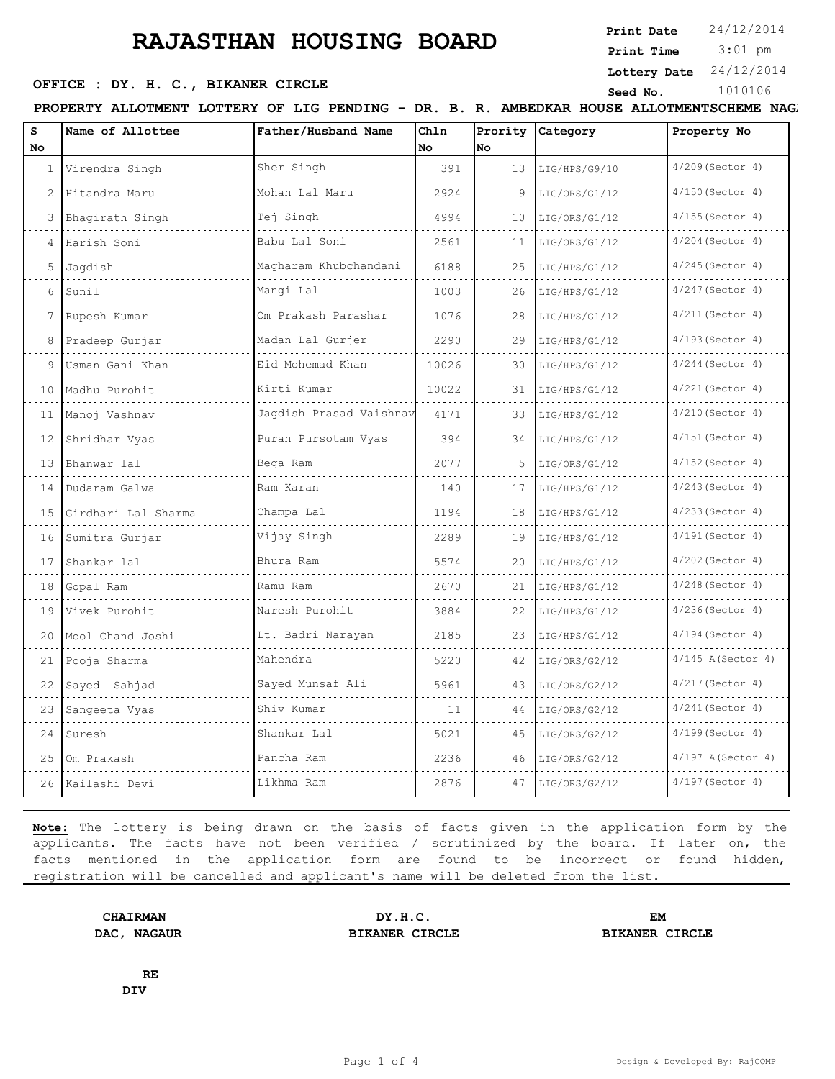## **RAJASTHAN HOUSING BOARD**

**OFFICE : DY. H. C., BIKANER CIRCLE** Seed No. 1010106

**Print Date**  $24/12/2014$ 

 3:01 pm **Print Time**

**Lottery Date** 24/12/2014

PROPERTY ALLOTMENT LOTTERY OF LIG PENDING - DR. B. R. AMBEDKAR HOUSE ALLOTMENTSCHEME NAGA

| S<br>No           | Name of Allottee    | Father/Husband Name     | Chln<br>No | No | Prority Category | Property No          |
|-------------------|---------------------|-------------------------|------------|----|------------------|----------------------|
| $\mathbf{1}$      | Virendra Singh      | Sher Singh              | 391        | 13 | LIG/HPS/G9/10    | $4/209$ (Sector 4)   |
| 2                 | Hitandra Maru       | Mohan Lal Maru          | 2924       | 9  | LIG/ORS/G1/12    | $4/150$ (Sector 4)   |
| 3                 | Bhagirath Singh     | Tej Singh               | 4994       | 10 | LIG/ORS/G1/12    | $4/155$ (Sector 4)   |
| 4                 | Harish Soni         | Babu Lal Soni           | 2561       | 11 | LIG/ORS/G1/12    | 4/204 (Sector 4)     |
| 5                 | Jagdish             | Magharam Khubchandani   | 6188       | 25 | LIG/HPS/G1/12    | $4/245$ (Sector 4)   |
| 6                 | Sunil               | Manqi Lal               | 1003       | 26 | LIG/HPS/G1/12    | 4/247(Sector 4)      |
| 7                 | Rupesh Kumar        | Om Prakash Parashar     | 1076       | 28 | LIG/HPS/G1/12    | $4/211$ (Sector 4)   |
| 8                 | Pradeep Gurjar      | Madan Lal Gurjer        | 2290       | 29 | LIG/HPS/G1/12    | 4/193(Sector 4)      |
| 9                 | Usman Gani Khan     | Eid Mohemad Khan        | 10026      | 30 | LIG/HPS/G1/12    | $4/244$ (Sector 4)   |
| 10                | Madhu Purohit       | Kirti Kumar             | 10022      | 31 | LIG/HPS/G1/12    | $4/221$ (Sector 4)   |
| 11                | Manoj Vashnav       | Jaqdish Prasad Vaishnav | 4171       | 33 | LIG/HPS/G1/12    | $4/210$ (Sector 4)   |
| $12 \overline{ }$ | Shridhar Vyas       | Puran Pursotam Vyas     | 394        | 34 | LIG/HPS/G1/12    | $4/151$ (Sector 4)   |
| 13                | Bhanwar lal         | Bega Ram                | 2077       | 5  | LIG/ORS/G1/12    | $4/152$ (Sector 4)   |
| 14                | Dudaram Galwa       | Ram Karan               | 140        | 17 | LIG/HPS/G1/12    | $4/243$ (Sector 4)   |
| 15                | Girdhari Lal Sharma | Champa Lal              | 1194       | 18 | LIG/HPS/G1/12    | $4/233$ (Sector 4)   |
| 16                | Sumitra Gurjar      | Vijay Singh             | 2289       | 19 | LIG/HPS/G1/12    | $4/191$ (Sector 4)   |
| 17                | Shankar lal         | Bhura Ram               | 5574       | 20 | LIG/HPS/G1/12    | $4/202$ (Sector 4)   |
| 18                | Gopal Ram           | Ramu Ram                | 2670       | 21 | LIG/HPS/G1/12    | $4/248$ (Sector 4)   |
| 19                | Vivek Purohit       | Naresh Purohit          | 3884       | 22 | LIG/HPS/G1/12    | $4/236$ (Sector 4)   |
| 20                | Mool Chand Joshi    | Lt. Badri Narayan       | 2185       | 23 | LIG/HPS/G1/12    | $4/194$ (Sector 4)   |
| 21                | Pooja Sharma        | Mahendra                | 5220       | 42 | LIG/ORS/G2/12    | $4/145$ A (Sector 4) |
| 22                | Sayed Sahjad        | Sayed Munsaf Ali        | 5961       | 43 | LIG/ORS/G2/12    | $4/217$ (Sector 4)   |
| 23                | Sangeeta Vyas       | Shiv Kumar              | 11         | 44 | LIG/ORS/G2/12    | $4/241$ (Sector 4)   |
| 24                | Suresh              | Shankar Lal             | 5021       | 45 | LIG/ORS/G2/12    | $4/199$ (Sector 4)   |
| 25                | Om Prakash          | Pancha Ram              | 2236       | 46 | LIG/ORS/G2/12    | $4/197$ A(Sector 4)  |
| 26                | Kailashi Devi       | Likhma Ram              | 2876       | 47 | LIG/ORS/G2/12    | 4/197(Sector 4)      |

**Note:** The lottery is being drawn on the basis of facts given in the application form by the applicants. The facts have not been verified / scrutinized by the board. If later on, the facts mentioned in the application form are found to be incorrect or found hidden, registration will be cancelled and applicant's name will be deleted from the list.

**CHAIRMAN DY.H.C. EM DAC, NAGAUR BIKANER CIRCLE BIKANER CIRCLE**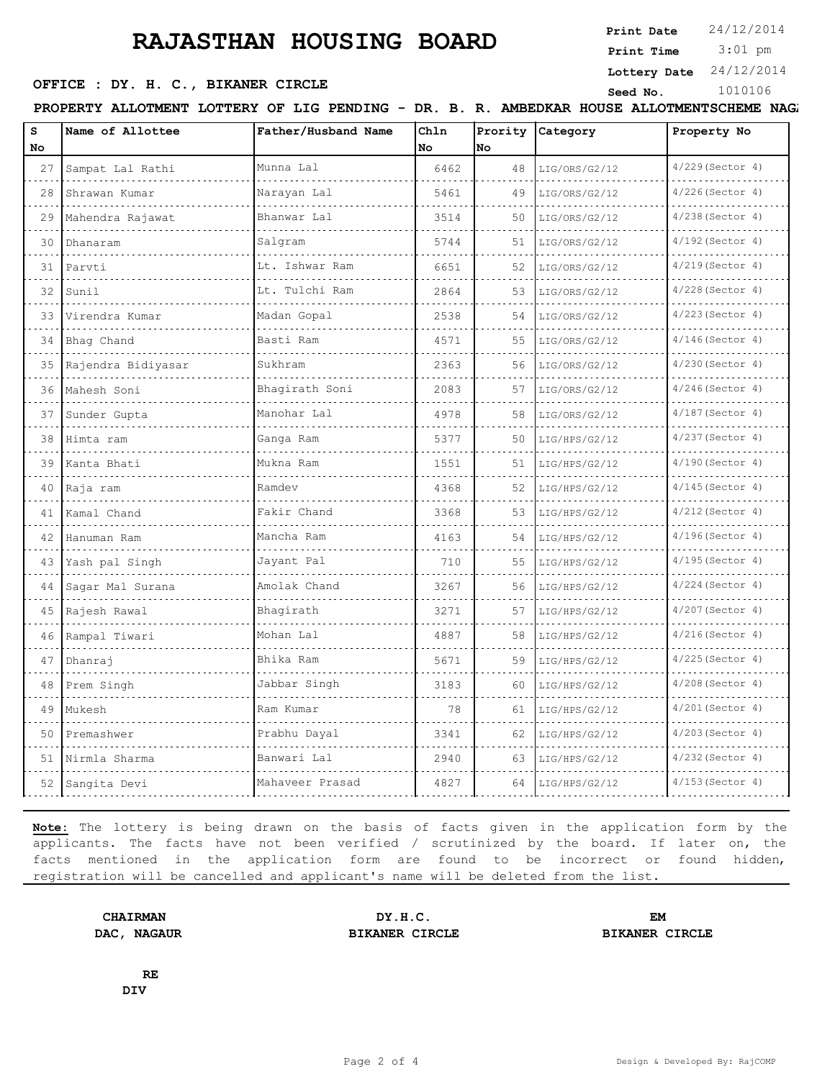## **RAJASTHAN HOUSING BOARD**

**OFFICE : DY. H. C., BIKANER CIRCLE** Seed No. 1010106

**Print Date**  $24/12/2014$ 

 3:01 pm **Print Time**

**Lottery Date** 24/12/2014

PROPERTY ALLOTMENT LOTTERY OF LIG PENDING - DR. B. R. AMBEDKAR HOUSE ALLOTMENTSCHEME NAGA

| s<br>No | Name of Allottee   | Father/Husband Name | Chln<br><b>No</b> | Prority<br>lno | <b>Category</b> | Property No        |  |
|---------|--------------------|---------------------|-------------------|----------------|-----------------|--------------------|--|
| 27      | Sampat Lal Rathi   | Munna Lal           | 6462              | 48             | LIG/ORS/G2/12   | $4/229$ (Sector 4) |  |
| 28      | Shrawan Kumar      | Narayan Lal         | 5461              | 49             | LIG/ORS/G2/12   | $4/226$ (Sector 4) |  |
| 29      | Mahendra Rajawat   | Bhanwar Lal         | 3514              | 50             | LIG/ORS/G2/12   | $4/238$ (Sector 4) |  |
| 30      | Dhanaram           | Salqram             | 5744              | 51             | LIG/ORS/G2/12   | $4/192$ (Sector 4) |  |
| 31      | Parvti             | Lt. Ishwar Ram      | 6651              | 52             | LIG/ORS/G2/12   | $4/219$ (Sector 4) |  |
| 32      | Sunil              | Lt. Tulchi Ram      | 2864              | 53             | LIG/ORS/G2/12   | $4/228$ (Sector 4) |  |
| 33      | Virendra Kumar     | Madan Gopal         | 2538              | 54             | LIG/ORS/G2/12   | $4/223$ (Sector 4) |  |
| 34      | Bhaq Chand         | Basti Ram           | 4571              | 55             | LIG/ORS/G2/12   | $4/146$ (Sector 4) |  |
| 35      | Rajendra Bidiyasar | Sukhram             | 2363              | 56             | LIG/ORS/G2/12   | $4/230$ (Sector 4) |  |
| 36      | Mahesh Soni        | Bhagirath Soni      | 2083              | 57             | LIG/ORS/G2/12   | $4/246$ (Sector 4) |  |
| 37      | Sunder Gupta       | Manohar Lal         | 4978              | 58             | LIG/ORS/G2/12   | $4/187$ (Sector 4) |  |
| 38      | Himta ram          | Ganga Ram           | 5377              | 50             | LIG/HPS/G2/12   | $4/237$ (Sector 4) |  |
| 39      | Kanta Bhati        | Mukna Ram           | 1551              | 51             | LIG/HPS/G2/12   | $4/190$ (Sector 4) |  |
| 40      | Raja ram           | Ramdev              | 4368              | 52             | LIG/HPS/G2/12   | $4/145$ (Sector 4) |  |
| 41      | Kamal Chand        | Fakir Chand         | 3368              | 53             | LIG/HPS/G2/12   | $4/212$ (Sector 4) |  |
| 42      | Hanuman Ram        | Mancha Ram          | 4163              | 54             | LIG/HPS/G2/12   | $4/196$ (Sector 4) |  |
| 43      | Yash pal Singh     | Jayant Pal          | 710               | 55             | LIG/HPS/G2/12   | $4/195$ (Sector 4) |  |
| 44      | Sagar Mal Surana   | Amolak Chand        | 3267              | 56             | LIG/HPS/G2/12   | $4/224$ (Sector 4) |  |
| 45      | Rajesh Rawal       | Bhagirath           | 3271              | 57             | LIG/HPS/G2/12   | $4/207$ (Sector 4) |  |
| 46      | Rampal Tiwari      | Mohan Lal           | 4887              | 58             | LIG/HPS/G2/12   | $4/216$ (Sector 4) |  |
| 47      | Dhanraj            | Bhika Ram           | 5671              | 59             | LIG/HPS/G2/12   | $4/225$ (Sector 4) |  |
| 48      | Prem Singh         | Jabbar Singh        | 3183              | 60             | LIG/HPS/G2/12   | $4/208$ (Sector 4) |  |
| 49      | Mukesh             | Ram Kumar           | 78                | 61             | LIG/HPS/G2/12   | $4/201$ (Sector 4) |  |
| 50      | Premashwer         | Prabhu Dayal        | 3341              | 62             | LIG/HPS/G2/12   | $4/203$ (Sector 4) |  |
| 51      | Nirmla Sharma      | Banwari Lal         | 2940              | 63             | LIG/HPS/G2/12   | $4/232$ (Sector 4) |  |
|         | 52 Sangita Devi    | Mahaveer Prasad     | 4827              | 64             | LIG/HPS/G2/12   | $4/153$ (Sector 4) |  |

**Note:** The lottery is being drawn on the basis of facts given in the application form by the applicants. The facts have not been verified / scrutinized by the board. If later on, the facts mentioned in the application form are found to be incorrect or found hidden, registration will be cancelled and applicant's name will be deleted from the list.

**CHAIRMAN DY.H.C. EM DAC, NAGAUR BIKANER CIRCLE BIKANER CIRCLE**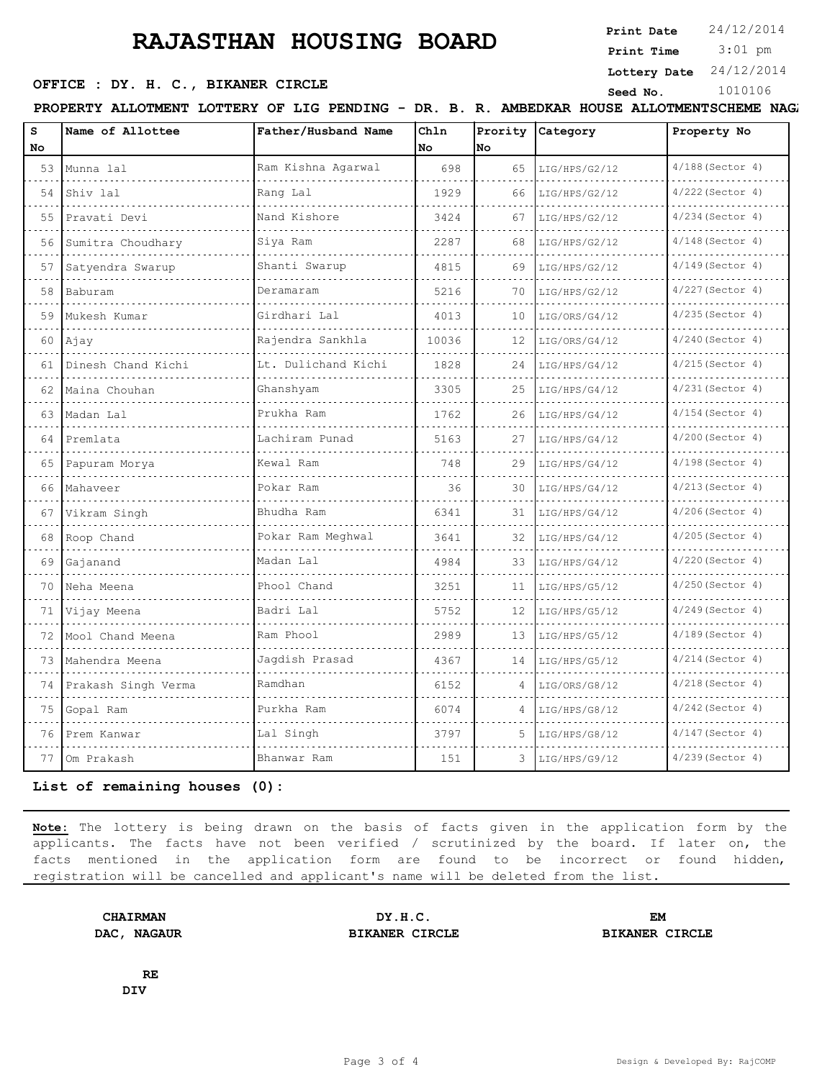## **RAJASTHAN HOUSING BOARD**

**OFFICE : DY. H. C., BIKANER CIRCLE** Seed No. 1010106

**Print Date**  $24/12/2014$ 

 3:01 pm **Print Time**

**Lottery Date** 24/12/2014

PROPERTY ALLOTMENT LOTTERY OF LIG PENDING - DR. B. R. AMBEDKAR HOUSE ALLOTMENTSCHEME NAGA

| s<br>No | Name of Allottee    | Father/Husband Name | Ch1n<br>No.                 | Prority<br>lno | Category           | Property No                          |
|---------|---------------------|---------------------|-----------------------------|----------------|--------------------|--------------------------------------|
| 53      | Munna lal           | Ram Kishna Agarwal  | 698                         | 65             | LIG/HPS/G2/12      | $4/188$ (Sector 4)                   |
| 54      | Shiv lal            | Rang Lal            | 1929                        | 66             | LIG/HPS/G2/12      | 4/222 (Sector 4)                     |
| 55      | Pravati Devi<br>.   | Nand Kishore        | 3424                        | 67             | LIG/HPS/G2/12      | $4/234$ (Sector 4)                   |
| 56      | Sumitra Choudhary   | Siya Ram            | 2287                        | 68             | LIG/HPS/G2/12      | de de de decem<br>$4/148$ (Sector 4) |
| 57      | Satyendra Swarup    | Shanti Swarup       | 4815                        | 69             | LIG/HPS/G2/12      | $4/149$ (Sector 4)                   |
| 58      | Baburam             | Deramaram           | 5216                        | 70             | LIG/HPS/G2/12      | 4/227 (Sector 4)                     |
| 59      | Mukesh Kumar        | Girdhari Lal        | 4013                        | 10             | LIG/ORS/G4/12      | $4/235$ (Sector 4)                   |
| 60      | Ajay                | Rajendra Sankhla    | 10036                       | 12             | LIG/ORS/G4/12      | 4/240 (Sector 4)                     |
| 61      | Dinesh Chand Kichi  | Lt. Dulichand Kichi | 1828                        | 24             | LIG/HPS/G4/12      | $4/215$ (Sector 4)                   |
| 62      | Maina Chouhan       | Ghanshyam           | 3305                        | 25             | LIG/HPS/G4/12      | $4/231$ (Sector 4)                   |
| 63      | Madan Lal           | Prukha Ram          | 1762                        | 26             | LIG/HPS/G4/12      | $4/154$ (Sector 4)                   |
| 64      | Premlata            | Lachiram Punad      | 5163                        | 27             | LIG/HPS/G4/12      | $4/200$ (Sector 4)                   |
| 65      | Papuram Morya       | Kewal Ram           | 748                         | 29             | LIG/HPS/G4/12      | $4/198$ (Sector 4)                   |
| 66      | Mahaveer            | Pokar Ram           | 36                          | 30             | LIG/HPS/G4/12      | $4/213$ (Sector 4)                   |
| 67      | Vikram Singh        | Bhudha Ram          | 6341                        | 31             | LIG/HPS/G4/12      | $4/206$ (Sector 4)                   |
| 68      | Roop Chand          | Pokar Ram Meghwal   | 3641                        | 32             | LIG/HPS/G4/12      | 4/205(Sector 4)                      |
| 69      | Gajanand            | Madan Lal           | 4984                        | 33             | LIG/HPS/G4/12      | 4/220 (Sector 4)                     |
| 70      | Neha Meena          | Phool Chand         | 3251                        | 11             | LIG/HPS/G5/12      | $4/250$ (Sector 4)                   |
| 71      | Vijay Meena         | Badri Lal           | 5752                        | 12             | LIG/HPS/G5/12      | 4/249 (Sector 4)                     |
| 72      | Mool Chand Meena    | Ram Phool           | 2989                        | 13             | LIG/HPS/G5/12      | $4/189$ (Sector 4)                   |
| 73      | Mahendra Meena      | Jagdish Prasad      | 4367<br>14<br>LIG/HPS/G5/12 |                | $4/214$ (Sector 4) |                                      |
| 74      | Prakash Singh Verma | Ramdhan             | 6152                        | 4              | LIG/ORS/G8/12      | 4/218 (Sector 4)                     |
| 75      | Gopal Ram           | Purkha Ram          | 6074                        | 4              | LIG/HPS/G8/12      | $4/242$ (Sector 4)                   |
| 76      | Prem Kanwar         | Lal Singh           | 3797                        | 5              | LIG/HPS/G8/12      | $4/147$ (Sector 4)                   |
| 77      | Om Prakash          | Bhanwar Ram         | 151                         | 3              | LIG/HPS/G9/12      | 4/239 (Sector 4)                     |

**List of remaining houses (0):** 

**Note:** The lottery is being drawn on the basis of facts given in the application form by the applicants. The facts have not been verified / scrutinized by the board. If later on, the facts mentioned in the application form are found to be incorrect or found hidden, registration will be cancelled and applicant's name will be deleted from the list.

**CHAIRMAN DY.H.C. EM DAC, NAGAUR BIKANER CIRCLE BIKANER CIRCLE**